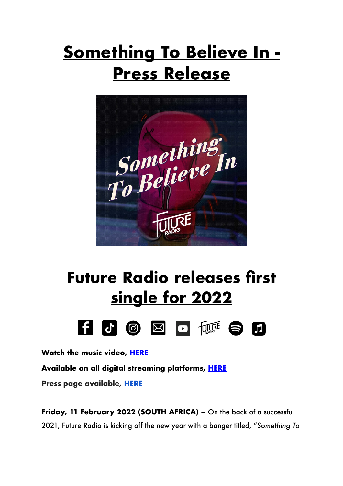## **Something To Believe In - Press Release**



## **Future Radio releases first single for 2022**



**Watch the music video, [HERE](https://www.youtube.com/watch?v=HVtDBDH3vgE&feature=youtu.be)**

**Available on all digital streaming platforms, [HERE](https://distrokid.com/hyperfollow/futureradio/something-to-believe-in)**

**Press page available, [HERE](https://futureradioband.co.za/press-3/)**

**Friday, 11 February 2022 (SOUTH AFRICA) –** On the back of a successful 2021, Future Radio is kicking off the new year with a banger titled, "*Something To*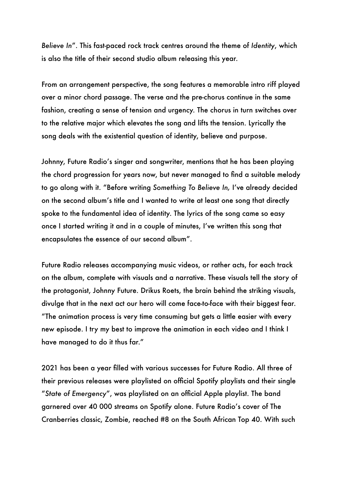*Believe In*". This fast-paced rock track centres around the theme of *Identity*, which is also the title of their second studio album releasing this year.

From an arrangement perspective, the song features a memorable intro riff played over a minor chord passage. The verse and the pre-chorus continue in the same fashion, creating a sense of tension and urgency. The chorus in turn switches over to the relative major which elevates the song and lifts the tension. Lyrically the song deals with the existential question of identity, believe and purpose.

Johnny, Future Radio's singer and songwriter, mentions that he has been playing the chord progression for years now, but never managed to find a suitable melody to go along with it. "Before writing *Something To Believe In,* I've already decided on the second album's title and I wanted to write at least one song that directly spoke to the fundamental idea of identity. The lyrics of the song came so easy once I started writing it and in a couple of minutes, I've written this song that encapsulates the essence of our second album".

Future Radio releases accompanying music videos, or rather acts, for each track on the album, complete with visuals and a narrative. These visuals tell the story of the protagonist, Johnny Future. Drikus Roets, the brain behind the striking visuals, divulge that in the next act our hero will come face-to-face with their biggest fear. "The animation process is very time consuming but gets a little easier with every new episode. I try my best to improve the animation in each video and I think I have managed to do it thus far."

2021 has been a year filled with various successes for Future Radio. All three of their previous releases were playlisted on official Spotify playlists and their single "*State of Emergency*", was playlisted on an official Apple playlist. The band garnered over 40 000 streams on Spotify alone. Future Radio's cover of The Cranberries classic, Zombie, reached #8 on the South African Top 40. With such